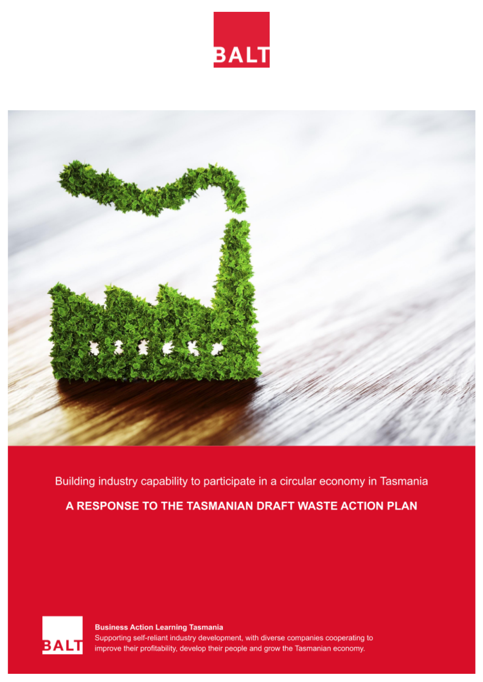



Building industry capability to participate in a circular economy in Tasmania

A RESPONSE TO THE TASMANIAN DRAFT WASTE ACTION PLAN



**Business Action Learning Tasmania** Supporting self-reliant industry development, with diverse companies cooperating to improve their profitability, develop their people and grow the Tasmanian economy.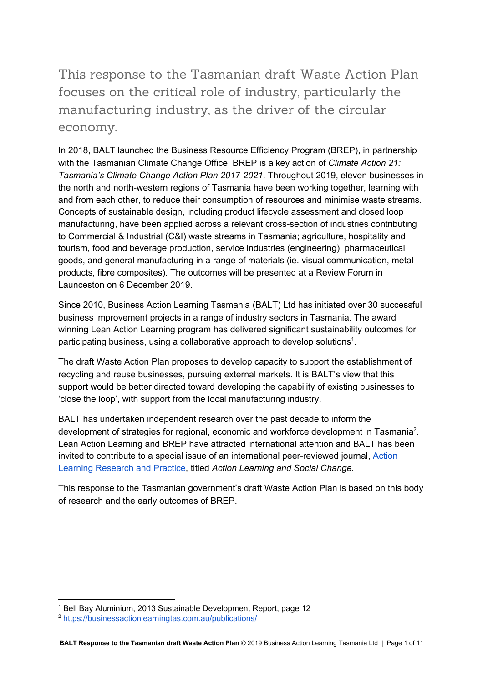# This response to the Tasmanian draft Waste Action Plan focuses on the critical role of industry, particularly the manufacturing industry, as the driver of the circular economy.

In 2018, BALT launched the Business Resource Efficiency Program (BREP), in partnership with the Tasmanian Climate Change Office. BREP is a key action of *Climate Action 21: Tasmania's Climate Change Action Plan 2017-2021*. Throughout 2019, eleven businesses in the north and north-western regions of Tasmania have been working together, learning with and from each other, to reduce their consumption of resources and minimise waste streams. Concepts of sustainable design, including product lifecycle assessment and closed loop manufacturing, have been applied across a relevant cross-section of industries contributing to Commercial & Industrial (C&I) waste streams in Tasmania; agriculture, hospitality and tourism, food and beverage production, service industries (engineering), pharmaceutical goods, and general manufacturing in a range of materials (ie. visual communication, metal products, fibre composites). The outcomes will be presented at a Review Forum in Launceston on 6 December 2019.

Since 2010, Business Action Learning Tasmania (BALT) Ltd has initiated over 30 successful business improvement projects in a range of industry sectors in Tasmania. The award winning Lean Action Learning program has delivered significant sustainability outcomes for participating business, using a collaborative approach to develop solutions<sup>1</sup>.

The draft Waste Action Plan proposes to develop capacity to support the establishment of recycling and reuse businesses, pursuing external markets. It is BALT's view that this support would be better directed toward developing the capability of existing businesses to 'close the loop', with support from the local manufacturing industry.

BALT has undertaken independent research over the past decade to inform the development of strategies for regional, economic and workforce development in Tasmania<sup>2</sup>. Lean Action Learning and BREP have attracted international attention and BALT has been invited to contribute to a special issue of an international peer-reviewed journal, [Action](https://www.tandfonline.com/toc/calr20/current) Learning [Research](https://www.tandfonline.com/toc/calr20/current) and Practice, titled *Action Learning and Social Change*.

This response to the Tasmanian government's draft Waste Action Plan is based on this body of research and the early outcomes of BREP.

<sup>1</sup> Bell Bay Aluminium, 2013 Sustainable Development Report, page 12

<sup>2</sup> <https://businessactionlearningtas.com.au/publications/>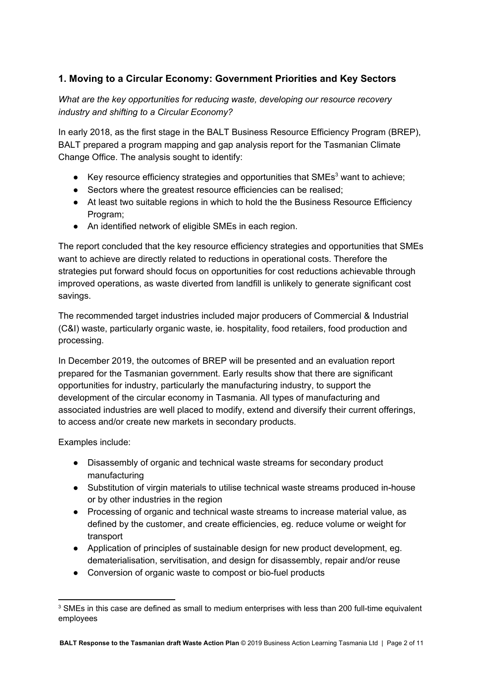# **1. Moving to a Circular Economy: Government Priorities and Key Sectors**

*What are the key opportunities for reducing waste, developing our resource recovery industry and shifting to a Circular Economy?*

In early 2018, as the first stage in the BALT Business Resource Efficiency Program (BREP), BALT prepared a program mapping and gap analysis report for the Tasmanian Climate Change Office. The analysis sought to identify:

- Key resource efficiency strategies and opportunities that SMEs<sup>3</sup> want to achieve;
- Sectors where the greatest resource efficiencies can be realised;
- At least two suitable regions in which to hold the the Business Resource Efficiency Program;
- An identified network of eligible SMEs in each region.

The report concluded that the key resource efficiency strategies and opportunities that SMEs want to achieve are directly related to reductions in operational costs. Therefore the strategies put forward should focus on opportunities for cost reductions achievable through improved operations, as waste diverted from landfill is unlikely to generate significant cost savings.

The recommended target industries included major producers of Commercial & Industrial (C&I) waste, particularly organic waste, ie. hospitality, food retailers, food production and processing.

In December 2019, the outcomes of BREP will be presented and an evaluation report prepared for the Tasmanian government. Early results show that there are significant opportunities for industry, particularly the manufacturing industry, to support the development of the circular economy in Tasmania. All types of manufacturing and associated industries are well placed to modify, extend and diversify their current offerings, to access and/or create new markets in secondary products.

Examples include:

- Disassembly of organic and technical waste streams for secondary product manufacturing
- Substitution of virgin materials to utilise technical waste streams produced in-house or by other industries in the region
- Processing of organic and technical waste streams to increase material value, as defined by the customer, and create efficiencies, eg. reduce volume or weight for transport
- Application of principles of sustainable design for new product development, eg. dematerialisation, servitisation, and design for disassembly, repair and/or reuse
- Conversion of organic waste to compost or bio-fuel products

<sup>&</sup>lt;sup>3</sup> SMEs in this case are defined as small to medium enterprises with less than 200 full-time equivalent employees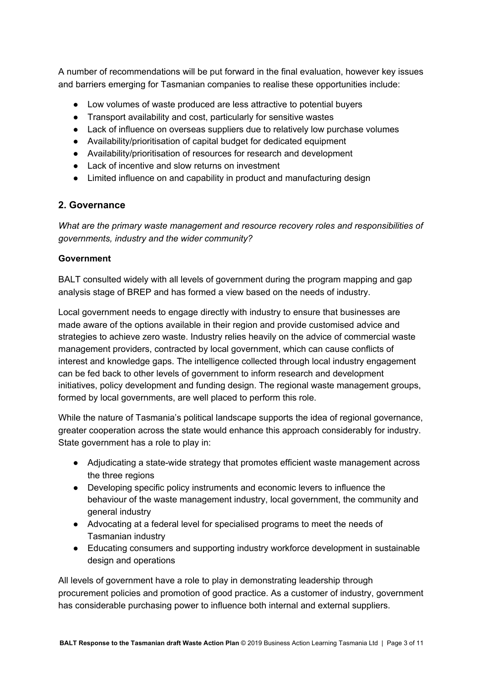A number of recommendations will be put forward in the final evaluation, however key issues and barriers emerging for Tasmanian companies to realise these opportunities include:

- Low volumes of waste produced are less attractive to potential buyers
- Transport availability and cost, particularly for sensitive wastes
- Lack of influence on overseas suppliers due to relatively low purchase volumes
- Availability/prioritisation of capital budget for dedicated equipment
- Availability/prioritisation of resources for research and development
- Lack of incentive and slow returns on investment
- Limited influence on and capability in product and manufacturing design

## **2. Governance**

*What are the primary waste management and resource recovery roles and responsibilities of governments, industry and the wider community?*

#### **Government**

BALT consulted widely with all levels of government during the program mapping and gap analysis stage of BREP and has formed a view based on the needs of industry.

Local government needs to engage directly with industry to ensure that businesses are made aware of the options available in their region and provide customised advice and strategies to achieve zero waste. Industry relies heavily on the advice of commercial waste management providers, contracted by local government, which can cause conflicts of interest and knowledge gaps. The intelligence collected through local industry engagement can be fed back to other levels of government to inform research and development initiatives, policy development and funding design. The regional waste management groups, formed by local governments, are well placed to perform this role.

While the nature of Tasmania's political landscape supports the idea of regional governance, greater cooperation across the state would enhance this approach considerably for industry. State government has a role to play in:

- Adjudicating a state-wide strategy that promotes efficient waste management across the three regions
- Developing specific policy instruments and economic levers to influence the behaviour of the waste management industry, local government, the community and general industry
- Advocating at a federal level for specialised programs to meet the needs of Tasmanian industry
- Educating consumers and supporting industry workforce development in sustainable design and operations

All levels of government have a role to play in demonstrating leadership through procurement policies and promotion of good practice. As a customer of industry, government has considerable purchasing power to influence both internal and external suppliers.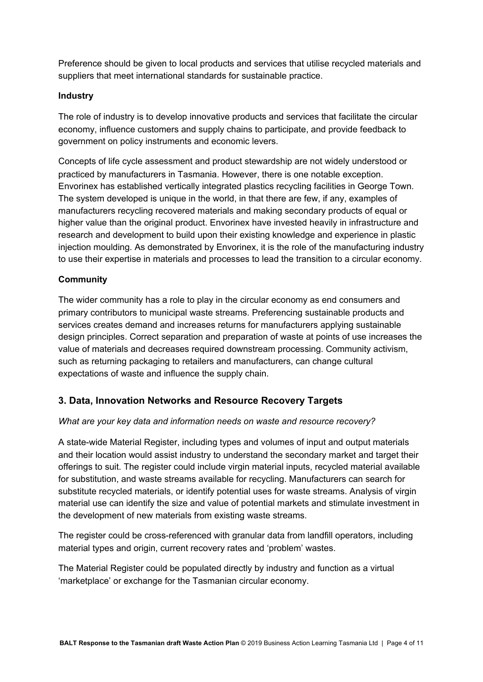Preference should be given to local products and services that utilise recycled materials and suppliers that meet international standards for sustainable practice.

## **Industry**

The role of industry is to develop innovative products and services that facilitate the circular economy, influence customers and supply chains to participate, and provide feedback to government on policy instruments and economic levers.

Concepts of life cycle assessment and product stewardship are not widely understood or practiced by manufacturers in Tasmania. However, there is one notable exception. Envorinex has established vertically integrated plastics recycling facilities in George Town. The system developed is unique in the world, in that there are few, if any, examples of manufacturers recycling recovered materials and making secondary products of equal or higher value than the original product. Envorinex have invested heavily in infrastructure and research and development to build upon their existing knowledge and experience in plastic injection moulding. As demonstrated by Envorinex, it is the role of the manufacturing industry to use their expertise in materials and processes to lead the transition to a circular economy.

## **Community**

The wider community has a role to play in the circular economy as end consumers and primary contributors to municipal waste streams. Preferencing sustainable products and services creates demand and increases returns for manufacturers applying sustainable design principles. Correct separation and preparation of waste at points of use increases the value of materials and decreases required downstream processing. Community activism, such as returning packaging to retailers and manufacturers, can change cultural expectations of waste and influence the supply chain.

## **3. Data, Innovation Networks and Resource Recovery Targets**

#### *What are your key data and information needs on waste and resource recovery?*

A state-wide Material Register, including types and volumes of input and output materials and their location would assist industry to understand the secondary market and target their offerings to suit. The register could include virgin material inputs, recycled material available for substitution, and waste streams available for recycling. Manufacturers can search for substitute recycled materials, or identify potential uses for waste streams. Analysis of virgin material use can identify the size and value of potential markets and stimulate investment in the development of new materials from existing waste streams.

The register could be cross-referenced with granular data from landfill operators, including material types and origin, current recovery rates and 'problem' wastes.

The Material Register could be populated directly by industry and function as a virtual 'marketplace' or exchange for the Tasmanian circular economy.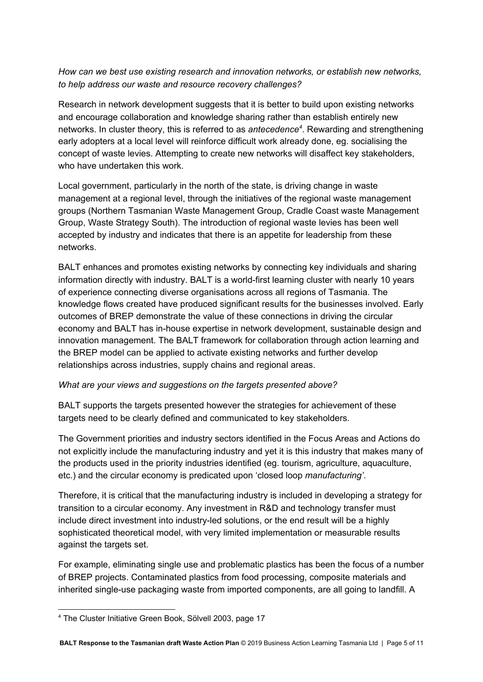*How can we best use existing research and innovation networks, or establish new networks, to help address our waste and resource recovery challenges?*

Research in network development suggests that it is better to build upon existing networks and encourage collaboration and knowledge sharing rather than establish entirely new networks. In cluster theory, this is referred to as *antecedence<sup>4</sup>*. Rewarding and strengthening early adopters at a local level will reinforce difficult work already done, eg. socialising the concept of waste levies. Attempting to create new networks will disaffect key stakeholders, who have undertaken this work.

Local government, particularly in the north of the state, is driving change in waste management at a regional level, through the initiatives of the regional waste management groups (Northern Tasmanian Waste Management Group, Cradle Coast waste Management Group, Waste Strategy South). The introduction of regional waste levies has been well accepted by industry and indicates that there is an appetite for leadership from these networks.

BALT enhances and promotes existing networks by connecting key individuals and sharing information directly with industry. BALT is a world-first learning cluster with nearly 10 years of experience connecting diverse organisations across all regions of Tasmania. The knowledge flows created have produced significant results for the businesses involved. Early outcomes of BREP demonstrate the value of these connections in driving the circular economy and BALT has in-house expertise in network development, sustainable design and innovation management. The BALT framework for collaboration through action learning and the BREP model can be applied to activate existing networks and further develop relationships across industries, supply chains and regional areas.

#### *What are your views and suggestions on the targets presented above?*

BALT supports the targets presented however the strategies for achievement of these targets need to be clearly defined and communicated to key stakeholders.

The Government priorities and industry sectors identified in the Focus Areas and Actions do not explicitly include the manufacturing industry and yet it is this industry that makes many of the products used in the priority industries identified (eg. tourism, agriculture, aquaculture, etc.) and the circular economy is predicated upon 'closed loop *manufacturing'*.

Therefore, it is critical that the manufacturing industry is included in developing a strategy for transition to a circular economy. Any investment in R&D and technology transfer must include direct investment into industry-led solutions, or the end result will be a highly sophisticated theoretical model, with very limited implementation or measurable results against the targets set.

For example, eliminating single use and problematic plastics has been the focus of a number of BREP projects. Contaminated plastics from food processing, composite materials and inherited single-use packaging waste from imported components, are all going to landfill. A

<sup>4</sup> The Cluster Initiative Green Book, Sölvell 2003, page 17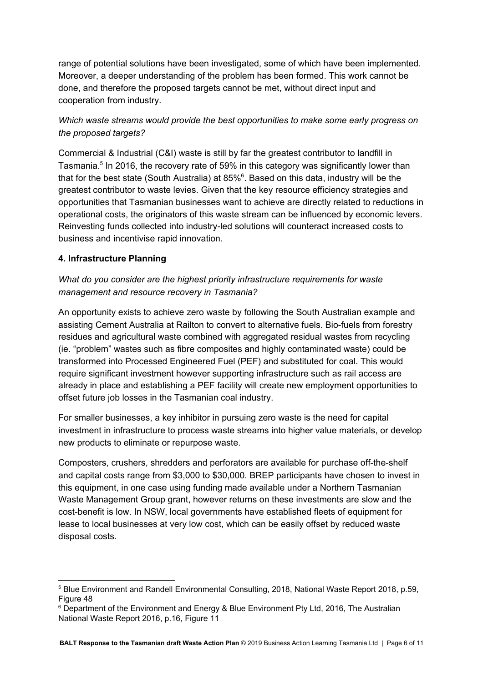range of potential solutions have been investigated, some of which have been implemented. Moreover, a deeper understanding of the problem has been formed. This work cannot be done, and therefore the proposed targets cannot be met, without direct input and cooperation from industry.

# *Which waste streams would provide the best opportunities to make some early progress on the proposed targets?*

Commercial & Industrial (C&I) waste is still by far the greatest contributor to landfill in Tasmania.<sup>5</sup> In 2016, the recovery rate of 59% in this category was significantly lower than that for the best state (South Australia) at 85% $^6$ . Based on this data, industry will be the greatest contributor to waste levies. Given that the key resource efficiency strategies and opportunities that Tasmanian businesses want to achieve are directly related to reductions in operational costs, the originators of this waste stream can be influenced by economic levers. Reinvesting funds collected into industry-led solutions will counteract increased costs to business and incentivise rapid innovation.

## **4. Infrastructure Planning**

# *What do you consider are the highest priority infrastructure requirements for waste management and resource recovery in Tasmania?*

An opportunity exists to achieve zero waste by following the South Australian example and assisting Cement Australia at Railton to convert to alternative fuels. Bio-fuels from forestry residues and agricultural waste combined with aggregated residual wastes from recycling (ie. "problem" wastes such as fibre composites and highly contaminated waste) could be transformed into Processed Engineered Fuel (PEF) and substituted for coal. This would require significant investment however supporting infrastructure such as rail access are already in place and establishing a PEF facility will create new employment opportunities to offset future job losses in the Tasmanian coal industry.

For smaller businesses, a key inhibitor in pursuing zero waste is the need for capital investment in infrastructure to process waste streams into higher value materials, or develop new products to eliminate or repurpose waste.

Composters, crushers, shredders and perforators are available for purchase off-the-shelf and capital costs range from \$3,000 to \$30,000. BREP participants have chosen to invest in this equipment, in one case using funding made available under a Northern Tasmanian Waste Management Group grant, however returns on these investments are slow and the cost-benefit is low. In NSW, local governments have established fleets of equipment for lease to local businesses at very low cost, which can be easily offset by reduced waste disposal costs.

<sup>5</sup> Blue Environment and Randell Environmental Consulting, 2018, National Waste Report 2018, p.59, Figure 48

<sup>&</sup>lt;sup>6</sup> Department of the Environment and Energy & Blue Environment Pty Ltd, 2016, The Australian National Waste Report 2016, p.16, Figure 11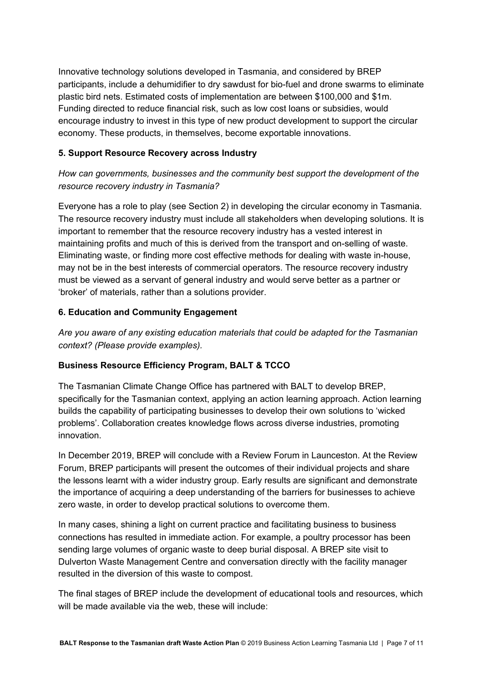Innovative technology solutions developed in Tasmania, and considered by BREP participants, include a dehumidifier to dry sawdust for bio-fuel and drone swarms to eliminate plastic bird nets. Estimated costs of implementation are between \$100,000 and \$1m. Funding directed to reduce financial risk, such as low cost loans or subsidies, would encourage industry to invest in this type of new product development to support the circular economy. These products, in themselves, become exportable innovations.

## **5. Support Resource Recovery across Industry**

# *How can governments, businesses and the community best support the development of the resource recovery industry in Tasmania?*

Everyone has a role to play (see Section 2) in developing the circular economy in Tasmania. The resource recovery industry must include all stakeholders when developing solutions. It is important to remember that the resource recovery industry has a vested interest in maintaining profits and much of this is derived from the transport and on-selling of waste. Eliminating waste, or finding more cost effective methods for dealing with waste in-house, may not be in the best interests of commercial operators. The resource recovery industry must be viewed as a servant of general industry and would serve better as a partner or 'broker' of materials, rather than a solutions provider.

## **6. Education and Community Engagement**

*Are you aware of any existing education materials that could be adapted for the Tasmanian context? (Please provide examples).*

## **Business Resource Efficiency Program, BALT & TCCO**

The Tasmanian Climate Change Office has partnered with BALT to develop BREP, specifically for the Tasmanian context, applying an action learning approach. Action learning builds the capability of participating businesses to develop their own solutions to 'wicked problems'. Collaboration creates knowledge flows across diverse industries, promoting innovation.

In December 2019, BREP will conclude with a Review Forum in Launceston. At the Review Forum, BREP participants will present the outcomes of their individual projects and share the lessons learnt with a wider industry group. Early results are significant and demonstrate the importance of acquiring a deep understanding of the barriers for businesses to achieve zero waste, in order to develop practical solutions to overcome them.

In many cases, shining a light on current practice and facilitating business to business connections has resulted in immediate action. For example, a poultry processor has been sending large volumes of organic waste to deep burial disposal. A BREP site visit to Dulverton Waste Management Centre and conversation directly with the facility manager resulted in the diversion of this waste to compost.

The final stages of BREP include the development of educational tools and resources, which will be made available via the web, these will include: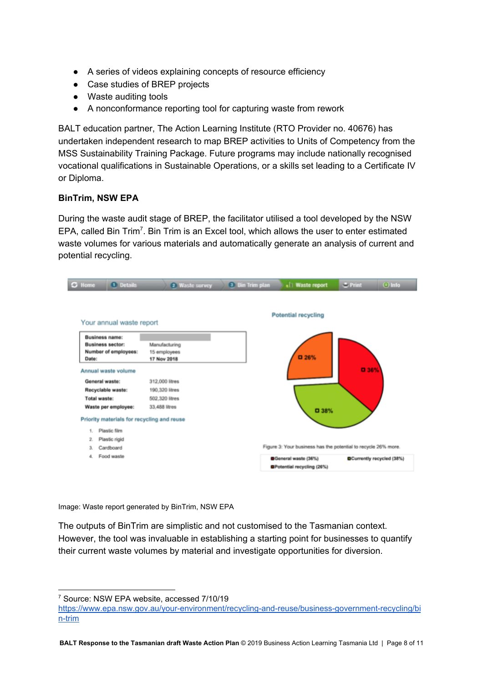- A series of videos explaining concepts of resource efficiency
- Case studies of BREP projects
- Waste auditing tools
- A nonconformance reporting tool for capturing waste from rework

BALT education partner, The Action Learning Institute (RTO Provider no. 40676) has undertaken independent research to map BREP activities to Units of Competency from the MSS Sustainability Training Package. Future programs may include nationally recognised vocational qualifications in Sustainable Operations, or a skills set leading to a Certificate IV or Diploma.

#### **BinTrim, NSW EPA**

During the waste audit stage of BREP, the facilitator utilised a tool developed by the NSW EPA, called Bin Trim<sup>7</sup>. Bin Trim is an Excel tool, which allows the user to enter estimated waste volumes for various materials and automatically generate an analysis of current and potential recycling.



Image: Waste report generated by BinTrim, NSW EPA

The outputs of BinTrim are simplistic and not customised to the Tasmanian context. However, the tool was invaluable in establishing a starting point for businesses to quantify their current waste volumes by material and investigate opportunities for diversion.

<sup>7</sup> Source: NSW EPA website, accessed 7/10/19

[https://www.epa.nsw.gov.au/your-environment/recycling-and-reuse/business-government-recycling/bi](https://www.epa.nsw.gov.au/your-environment/recycling-and-reuse/business-government-recycling/bin-trim) [n-trim](https://www.epa.nsw.gov.au/your-environment/recycling-and-reuse/business-government-recycling/bin-trim)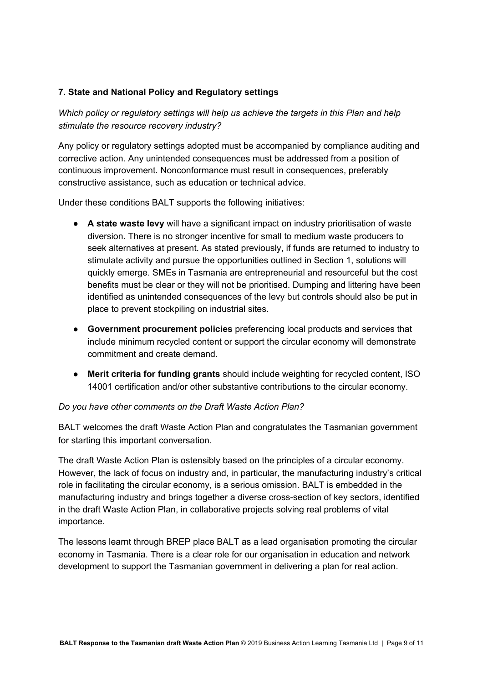## **7. State and National Policy and Regulatory settings**

*Which policy or regulatory settings will help us achieve the targets in this Plan and help stimulate the resource recovery industry?*

Any policy or regulatory settings adopted must be accompanied by compliance auditing and corrective action. Any unintended consequences must be addressed from a position of continuous improvement. Nonconformance must result in consequences, preferably constructive assistance, such as education or technical advice.

Under these conditions BALT supports the following initiatives:

- **A state waste levy** will have a significant impact on industry prioritisation of waste diversion. There is no stronger incentive for small to medium waste producers to seek alternatives at present. As stated previously, if funds are returned to industry to stimulate activity and pursue the opportunities outlined in Section 1, solutions will quickly emerge. SMEs in Tasmania are entrepreneurial and resourceful but the cost benefits must be clear or they will not be prioritised. Dumping and littering have been identified as unintended consequences of the levy but controls should also be put in place to prevent stockpiling on industrial sites.
- **Government procurement policies** preferencing local products and services that include minimum recycled content or support the circular economy will demonstrate commitment and create demand.
- **Merit criteria for funding grants** should include weighting for recycled content, ISO 14001 certification and/or other substantive contributions to the circular economy.

#### *Do you have other comments on the Draft Waste Action Plan?*

BALT welcomes the draft Waste Action Plan and congratulates the Tasmanian government for starting this important conversation.

The draft Waste Action Plan is ostensibly based on the principles of a circular economy. However, the lack of focus on industry and, in particular, the manufacturing industry's critical role in facilitating the circular economy, is a serious omission. BALT is embedded in the manufacturing industry and brings together a diverse cross-section of key sectors, identified in the draft Waste Action Plan, in collaborative projects solving real problems of vital importance.

The lessons learnt through BREP place BALT as a lead organisation promoting the circular economy in Tasmania. There is a clear role for our organisation in education and network development to support the Tasmanian government in delivering a plan for real action.